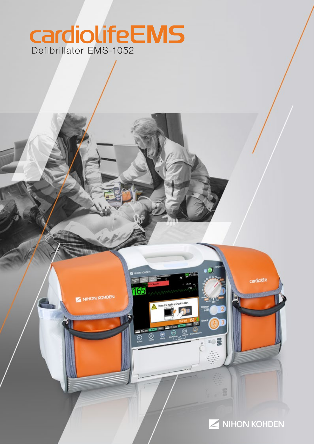# CardiolifeEMS



cardiolite

م ه

EO

1165

 $102$ ⊚

NIHON KOHDEN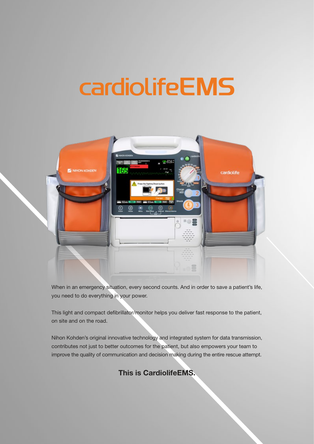# **cardiolifeEMS**



When in an emergency situation, every second counts. And in order to save a patient's life, you need to do everything in your power.

This light and compact defibrillator/monitor helps you deliver fast response to the patient, on site and on the road.

Nihon Kohden's original innovative technology and integrated system for data transmission, contributes not just to better outcomes for the patient, but also empowers your team to improve the quality of communication and decision making during the entire rescue attempt.

This is CardiolifeEMS.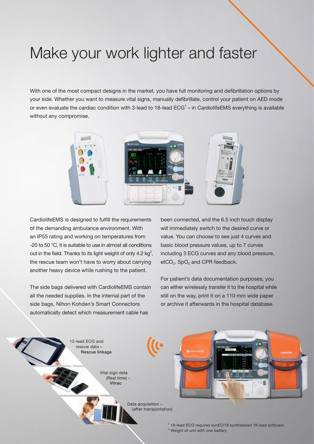## Make your work lighter and faster

With one of the most compact designs in the market, you have full monitoring and defibrillation options by your side. Whether you want to measure vital signs, manually defibrillate, control your patient on AED mode or even evaluate the cardiac condition with 3-lead to 18-lead  $EG<sup>1</sup>$  – in CardiolifeEMS everything is available without any compromise.



CardiolifeEMS is designed to fulfill the requirements of the demanding ambulance environment. With an IP55 rating and working on temperatures from -20 to 50 °C, it is suitable to use in almost all conditions out in the field. Thanks to its light weight of only 4.2 kg<sup>2</sup>, the rescue team won't have to worry about carrying another heavy device while rushing to the patient.

The side bags delivered with CardiolifeEMS contain all the needed supplies. In the internal part of the side bags, Nihon Kohden's Smart Connectors automatically detect which measurement cable has

been connected, and the 6.5 inch touch display will immediately switch to the desired curve or value. You can choose to see just 4 curves and basic blood pressure values, up to 7 curves including 3 ECG curves and any blood pressure,  $etCO<sub>2</sub>$ , SpO<sub>2</sub> and CPR feedback.

For patient's data documentation purposes, you can either wirelessly transfer it to the hospital while still on the way, print it on a 110 mm wide paper or archive it afterwards in the hospital database.

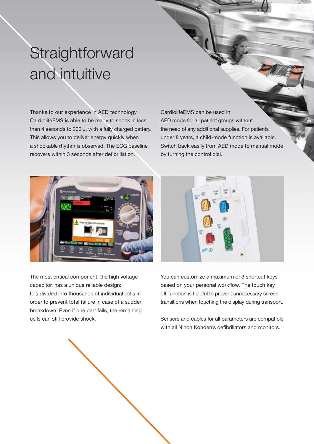# **Straightforward** and intuitive

Thanks to our experience in AED technology, CardiolifeEMS is able to be ready to shock in less than 4 seconds to 200 J, with a fully charged battery. This allows you to deliver energy quickly when a shockable rhythm is observed. The ECG baseline recovers within 3 seconds after defibrillation.

CardiolifeEMS can be used in AED mode for all patient groups without the need of any additional supplies. For patients under 8 years, a child-mode function is available. Switch back easily from AED mode to manual mode by turning the control dial.



The most critical component, the high voltage capacitor, has a unique reliable design: It is divided into thousands of individual cells in order to prevent total failure in case of a sudden breakdown. Even if one part fails, the remaining cells can still provide shock.



You can customize a maximum of 3 shortcut keys based on your personal workflow. The touch key off-function is helpful to prevent unnecessary screen transitions when touching the display during transport.

Sensors and cables for all parameters are compatible with all Nihon Kohden's defibrillators and monitors.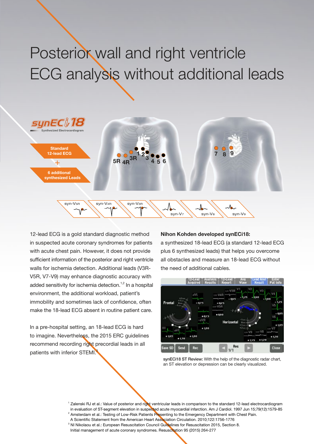# Posterior wall and right ventricle ECG analysis without additional leads



12-lead ECG is a gold standard diagnostic method in suspected acute coronary syndromes for patients with acute chest pain. However, it does not provide sufficient information of the posterior and right ventricle walls for ischemia detection. Additional leads (V3R-V5R, V7-V9) may enhance diagnostic accuracy with added sensitivity for ischemia detection.<sup>1,2</sup> In a hospital environment, the additional workload, patient's immobility and sometimes lack of confidence, often make the 18-lead ECG absent in routine patient care.

In a pre-hospital setting, an 18-lead ECG is hard to imagine. Nevertheless, the 2015 ERC guidelines recommend recording right precordial leads in all patients with inferior STEMI.

#### Nihon Kohden developed synECi18:

a synthesized 18-lead ECG (a standard 12-lead ECG plus 6 synthesized leads) that helps you overcome all obstacles and measure an 18-lead ECG without the need of additional cables.



synECi18 ST Review: With the help of the diagnostic radar chart, an ST elevation or depression can be clearly visualized.

- <sup>1</sup> Zalenski RJ et al.: Value of posterior and right ventricular leads in comparison to the standard 12-lead electrocardiogram in evaluation of ST-segment elevation in suspected acute myocardial infarction. Am J Cardiol. 1997 Jun 15;79(12):1579-85
- <sup>2</sup> Amsterdam et al.: Testing of Low-Risk Patients Presenting to the Emergency Department with Chest Pain.
- A Scientific Statement from the American Heart Association Circulation. 2010;122:1756-1776
- <sup>3</sup> NI Nikolaou et al.: European Resuscitation Council Guidelines for Resuscitation 2015, Section 8.

Initial management of acute coronary syndromes. Resuscitation 95 (2015) 264-277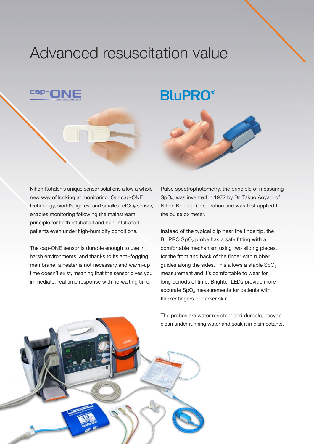#### Advanced resuscitation value

#### **BluPRO®**

Nihon Kohden's unique sensor solutions allow a whole new way of looking at monitoring. Our cap-ONE technology, world's lightest and smallest etCO<sub>2</sub> sensor, enables monitoring following the mainstream principle for both intubated and non-intubated patients even under high-humidity conditions.

The cap-ONE sensor is durable enough to use in harsh environments, and thanks to its anti-fogging membrane, a heater is not necessary and warm-up time doesn't exist, meaning that the sensor gives you immediate, real time response with no waiting time.

Pulse spectrophotometry, the principle of measuring SpO<sub>2</sub>, was invented in 1972 by Dr. Takuo Aoyagi of Nihon Kohden Corporation and was first applied to the pulse oximeter.

Instead of the typical clip near the fingertip, the BluPRO SpO<sub>2</sub> probe has a safe fitting with a comfortable mechanism using two sliding pieces, for the front and back of the finger with rubber guides along the sides. This allows a stable  $SpO<sub>2</sub>$ measurement and it's comfortable to wear for long periods of time. Brighter LEDs provide more accurate  $SpO<sub>2</sub>$  measurements for patients with thicker fingers or darker skin.



The probes are water resistant and durable, easy to clean under running water and soak it in disinfectants.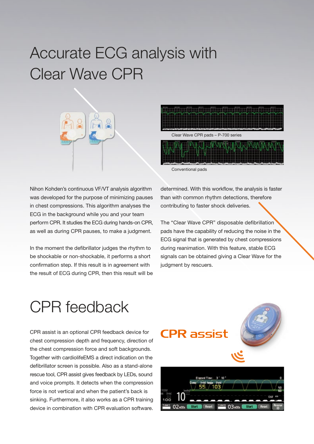## Accurate ECG analysis with Clear Wave CPR





Conventional pads

Nihon Kohden's continuous VF/VT analysis algorithm was developed for the purpose of minimizing pauses in chest compressions. This algorithm analyses the ECG in the background while you and your team perform CPR. It studies the ECG during hands-on CPR, as well as during CPR pauses, to make a judgment.

In the moment the defibrillator judges the rhythm to be shockable or non-shockable, it performs a short confirmation step. If this result is in agreement with the result of ECG during CPR, then this result will be determined. With this workflow, the analysis is faster than with common rhythm detections, therefore contributing to faster shock deliveries.

The "Clear Wave CPR" disposable defibrillation pads have the capability of reducing the noise in the ECG signal that is generated by chest compressions during reanimation. With this feature, stable ECG signals can be obtained giving a Clear Wave for the judgment by rescuers.

## CPR feedback

CPR assist is an optional CPR feedback device for chest compression depth and frequency, direction of the chest compression force and soft backgrounds. Together with cardiolifeEMS a direct indication on the defibrillator screen is possible. Also as a stand-alone rescue tool, CPR assist gives feedback by LEDs, sound and voice prompts. It detects when the compression force is not vertical and when the patient's back is sinking. Furthermore, it also works as a CPR training device in combination with CPR evaluation software.